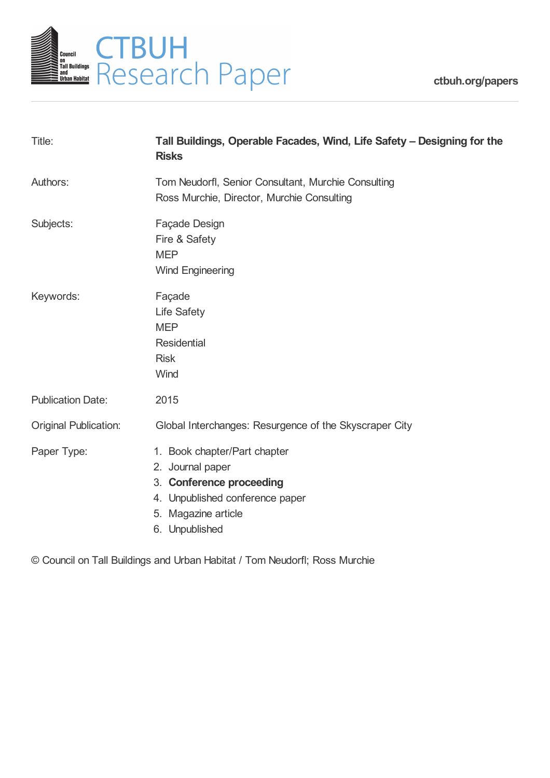

| Title:                       | Tall Buildings, Operable Facades, Wind, Life Safety - Designing for the<br><b>Risks</b>                                                                  |
|------------------------------|----------------------------------------------------------------------------------------------------------------------------------------------------------|
| Authors:                     | Tom Neudorfl, Senior Consultant, Murchie Consulting<br>Ross Murchie, Director, Murchie Consulting                                                        |
| Subjects:                    | Façade Design<br>Fire & Safety<br><b>MEP</b><br><b>Wind Engineering</b>                                                                                  |
| Keywords:                    | Façade<br>Life Safety<br><b>MEP</b><br><b>Residential</b><br><b>Risk</b><br>Wind                                                                         |
| <b>Publication Date:</b>     | 2015                                                                                                                                                     |
| <b>Original Publication:</b> | Global Interchanges: Resurgence of the Skyscraper City                                                                                                   |
| Paper Type:                  | 1. Book chapter/Part chapter<br>2. Journal paper<br>3. Conference proceeding<br>4. Unpublished conference paper<br>5. Magazine article<br>6. Unpublished |

© Council on Tall Buildings and Urban Habitat / Tom Neudorfl; Ross Murchie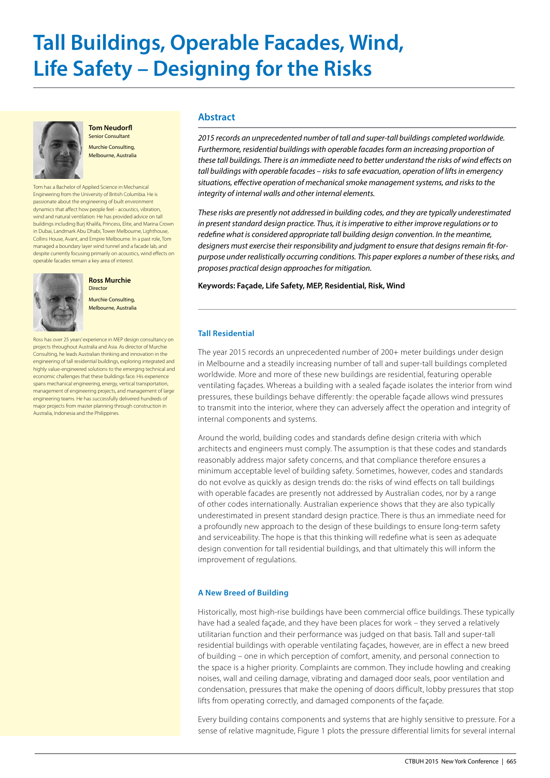# **Tall Buildings, Operable Facades, Wind, Life Safety – Designing for the Risks**



**Tom Neudorfl** Senior Consultant

Murchie Consulting, Melbourne, Australia

Tom has a Bachelor of Applied Science in Mechanical Engineering from the University of British Columbia. He is passionate about the engineering of built environment dynamics that affect how people feel - acoustics, vibration, wind and natural ventilation. He has provided advice on tall buildings including Burj Khalifa, Princess, Elite, and Marina Crown in Dubai, Landmark Abu Dhabi, Tower Melbourne, Lighthouse, Collins House, Avant, and Empire Melbourne. In a past role, Tom managed a boundary layer wind tunnel and a facade lab, and despite currently focusing primarily on acoustics, wind effects on operable facades remain a key area of interest.



**Ross Murchie** Director

Murchie Consulting, Melbourne, Australia

Ross has over 25 years' experience in MEP design consultancy on projects throughout Australia and Asia. As director of Murchie Consulting, he leads Australian thinking and innovation in the engineering of tall residential buildings, exploring integrated and highly value-engineered solutions to the emerging technical and economic challenges that these buildings face. His experience spans mechanical engineering, energy, vertical transportation, management of engineering projects, and management of large engineering teams. He has successfully delivered hundreds of major projects from master planning through construction in Australia, Indonesia and the Philippines.

# **Abstract**

*2015 records an unprecedented number of tall and super-tall buildings completed worldwide. Furthermore, residential buildings with operable facades form an increasing proportion of these tall buildings. There is an immediate need to better understand the risks of wind effects on tall buildings with operable facades – risks to safe evacuation, operation of lifts in emergency situations, effective operation of mechanical smoke management systems, and risks to the integrity of internal walls and other internal elements.* 

*These risks are presently not addressed in building codes, and they are typically underestimated in present standard design practice. Thus, it is imperative to either improve regulations or to redefine what is considered appropriate tall building design convention. In the meantime, designers must exercise their responsibility and judgment to ensure that designs remain fit-forpurpose under realistically occurring conditions. This paper explores a number of these risks, and proposes practical design approaches for mitigation.*

#### **Keywords: Façade, Life Safety, MEP, Residential, Risk, Wind**

#### **Tall Residential**

The year 2015 records an unprecedented number of 200+ meter buildings under design in Melbourne and a steadily increasing number of tall and super-tall buildings completed worldwide. More and more of these new buildings are residential, featuring operable ventilating façades. Whereas a building with a sealed façade isolates the interior from wind pressures, these buildings behave differently: the operable façade allows wind pressures to transmit into the interior, where they can adversely affect the operation and integrity of internal components and systems.

Around the world, building codes and standards define design criteria with which architects and engineers must comply. The assumption is that these codes and standards reasonably address major safety concerns, and that compliance therefore ensures a minimum acceptable level of building safety. Sometimes, however, codes and standards do not evolve as quickly as design trends do: the risks of wind effects on tall buildings with operable facades are presently not addressed by Australian codes, nor by a range of other codes internationally. Australian experience shows that they are also typically underestimated in present standard design practice. There is thus an immediate need for a profoundly new approach to the design of these buildings to ensure long-term safety and serviceability. The hope is that this thinking will redefine what is seen as adequate design convention for tall residential buildings, and that ultimately this will inform the improvement of regulations.

# **A New Breed of Building**

Historically, most high-rise buildings have been commercial office buildings. These typically have had a sealed façade, and they have been places for work – they served a relatively utilitarian function and their performance was judged on that basis. Tall and super-tall residential buildings with operable ventilating façades, however, are in effect a new breed of building – one in which perception of comfort, amenity, and personal connection to the space is a higher priority. Complaints are common. They include howling and creaking noises, wall and ceiling damage, vibrating and damaged door seals, poor ventilation and condensation, pressures that make the opening of doors difficult, lobby pressures that stop lifts from operating correctly, and damaged components of the façade.

Every building contains components and systems that are highly sensitive to pressure. For a sense of relative magnitude, Figure 1 plots the pressure differential limits for several internal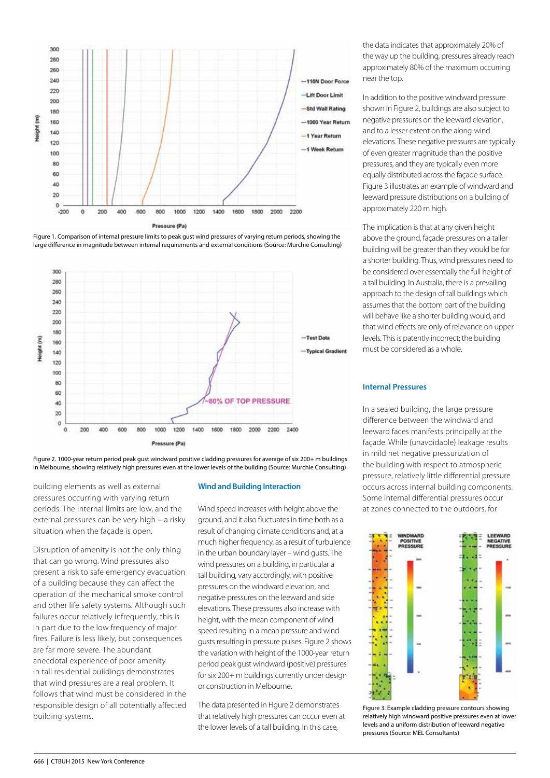

Figure 1. Comparison of internal pressure limits to peak gust wind pressures of varying return periods, showing the large difference in magnitude between internal requirements and external conditions (Source: Murchie Consulting)



Figure 2. 1000-year return period peak gust windward positive cladding pressures for average of six 200+ m buildings in Melbourne, showing relatively high pressures even at the lower levels of the building (Source: Murchie Consulting)

building elements as well as external pressures occurring with varying return periods. The internal limits are low, and the external pressures can be very high – a risky situation when the façade is open.

Disruption of amenity is not the only thing that can go wrong. Wind pressures also present a risk to safe emergency evacuation of a building because they can affect the operation of the mechanical smoke control and other life safety systems. Although such failures occur relatively infrequently, this is in part due to the low frequency of major fires. Failure is less likely, but consequences are far more severe. The abundant anecdotal experience of poor amenity in tall residential buildings demonstrates that wind pressures are a real problem. It follows that wind must be considered in the responsible design of all potentially affected building systems.

#### **Wind and Building Interaction**

Wind speed increases with height above the ground, and it also fluctuates in time both as a result of changing climate conditions and, at a much higher frequency, as a result of turbulence in the urban boundary layer – wind gusts. The wind pressures on a building, in particular a tall building, vary accordingly, with positive pressures on the windward elevation, and negative pressures on the leeward and side elevations. These pressures also increase with height, with the mean component of wind speed resulting in a mean pressure and wind gusts resulting in pressure pulses. Figure 2 shows the variation with height of the 1000-year return period peak gust windward (positive) pressures for six 200+ m buildings currently under design or construction in Melbourne.

The data presented in Figure 2 demonstrates that relatively high pressures can occur even at the lower levels of a tall building. In this case,

the data indicates that approximately 20% of the way up the building, pressures already reach approximately 80% of the maximum occurring near the top.

In addition to the positive windward pressure shown in Figure 2, buildings are also subject to negative pressures on the leeward elevation, and to a lesser extent on the along-wind elevations. These negative pressures are typically of even greater magnitude than the positive pressures, and they are typically even more equally distributed across the façade surface. Figure 3 illustrates an example of windward and leeward pressure distributions on a building of approximately 220 m high.

The implication is that at any given height above the ground, façade pressures on a taller building will be greater than they would be for a shorter building. Thus, wind pressures need to be considered over essentially the full height of a tall building. In Australia, there is a prevailing approach to the design of tall buildings which assumes that the bottom part of the building will behave like a shorter building would, and that wind effects are only of relevance on upper levels. This is patently incorrect; the building must be considered as a whole.

#### **Internal Pressures**

In a sealed building, the large pressure difference between the windward and leeward faces manifests principally at the façade. While (unavoidable) leakage results in mild net negative pressurization of the building with respect to atmospheric pressure, relatively little differential pressure occurs across internal building components. Some internal differential pressures occur at zones connected to the outdoors, for



Figure 3. Example cladding pressure contours showing relatively high windward positive pressures even at lower levels and a uniform distribution of leeward negative pressures (Source: MEL Consultants)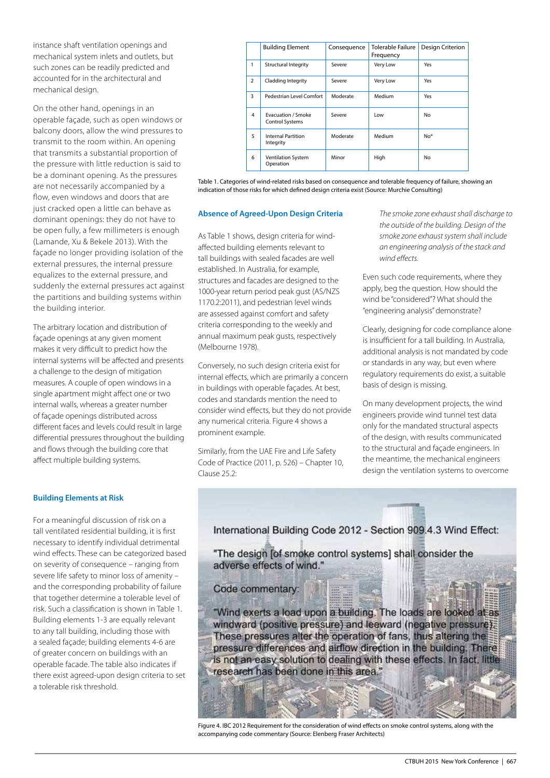instance shaft ventilation openings and mechanical system inlets and outlets, but such zones can be readily predicted and accounted for in the architectural and mechanical design.

On the other hand, openings in an operable façade, such as open windows or balcony doors, allow the wind pressures to transmit to the room within. An opening that transmits a substantial proportion of the pressure with little reduction is said to be a dominant opening. As the pressures are not necessarily accompanied by a flow, even windows and doors that are just cracked open a little can behave as dominant openings: they do not have to be open fully, a few millimeters is enough (Lamande, Xu & Bekele 2013). With the façade no longer providing isolation of the external pressures, the internal pressure equalizes to the external pressure, and suddenly the external pressures act against the partitions and building systems within the building interior.

The arbitrary location and distribution of façade openings at any given moment makes it very difficult to predict how the internal systems will be affected and presents a challenge to the design of mitigation measures. A couple of open windows in a single apartment might affect one or two internal walls, whereas a greater number of façade openings distributed across different faces and levels could result in large differential pressures throughout the building and flows through the building core that affect multiple building systems.

# **Building Elements at Risk**

For a meaningful discussion of risk on a tall ventilated residential building, it is first necessary to identify individual detrimental wind effects. These can be categorized based on severity of consequence – ranging from severe life safety to minor loss of amenity – and the corresponding probability of failure that together determine a tolerable level of risk. Such a classification is shown in Table 1. Building elements 1-3 are equally relevant to any tall building, including those with a sealed façade; building elements 4-6 are of greater concern on buildings with an operable facade. The table also indicates if there exist agreed-upon design criteria to set a tolerable risk threshold.

|                | <b>Building Element</b>                      | Consequence | <b>Tolerable Failure</b><br>Frequency | Design Criterion |
|----------------|----------------------------------------------|-------------|---------------------------------------|------------------|
| 1              | <b>Structural Integrity</b>                  | Severe      | Very Low                              | Yes              |
| $\overline{2}$ | Cladding Integrity                           | Severe      | Very Low                              | Yes              |
| 3              | Pedestrian Level Comfort                     | Moderate    | Medium                                | Yes              |
| 4              | Evacuation / Smoke<br><b>Control Systems</b> | Severe      | Low                                   | No               |
| 5              | <b>Internal Partition</b><br>Integrity       | Moderate    | Medium                                | $No*$            |
| 6              | Ventilation System<br>Operation              | Minor       | High                                  | No               |

Table 1. Categories of wind-related risks based on consequence and tolerable frequency of failure, showing an indication of those risks for which defined design criteria exist (Source: Murchie Consulting)

#### **Absence of Agreed-Upon Design Criteria**

As Table 1 shows, design criteria for windaffected building elements relevant to tall buildings with sealed facades are well established. In Australia, for example, structures and facades are designed to the 1000-year return period peak gust (AS/NZS 1170.2:2011), and pedestrian level winds are assessed against comfort and safety criteria corresponding to the weekly and annual maximum peak gusts, respectively (Melbourne 1978).

Conversely, no such design criteria exist for internal effects, which are primarily a concern in buildings with operable façades. At best, codes and standards mention the need to consider wind effects, but they do not provide any numerical criteria. Figure 4 shows a prominent example.

Similarly, from the UAE Fire and Life Safety Code of Practice (2011, p. 526) – Chapter 10, Clause 25.2:

*The smoke zone exhaust shall discharge to the outside of the building. Design of the smoke zone exhaust system shall include an engineering analysis of the stack and wind effects.*

Even such code requirements, where they apply, beg the question. How should the wind be "considered"? What should the "engineering analysis" demonstrate?

Clearly, designing for code compliance alone is insufficient for a tall building. In Australia, additional analysis is not mandated by code or standards in any way, but even where regulatory requirements do exist, a suitable basis of design is missing.

On many development projects, the wind engineers provide wind tunnel test data only for the mandated structural aspects of the design, with results communicated to the structural and façade engineers. In the meantime, the mechanical engineers design the ventilation systems to overcome

International Building Code 2012 - Section 909.4.3 Wind Effect:

"The design [of smoke control systems] shall consider the adverse effects of wind."

Code commentary:

"Wind exerts a load upon a building. The loads are looked at as windward (positive pressure) and leeward (negative pressure). These pressures alter the operation of fans, thus altering the pressure differences and airflow direction in the building. There is not an easy solution to dealing with these effects. In fact, little research has been done in this area."

Figure 4. IBC 2012 Requirement for the consideration of wind effects on smoke control systems, along with the accompanying code commentary (Source: Elenberg Fraser Architects)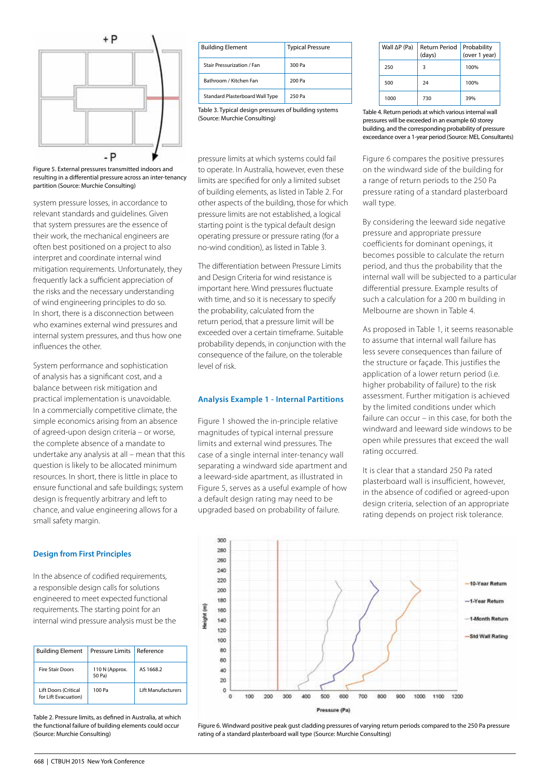

Figure 5. External pressures transmitted indoors and resulting in a differential pressure across an inter-tenancy partition (Source: Murchie Consulting)

system pressure losses, in accordance to relevant standards and guidelines. Given that system pressures are the essence of their work, the mechanical engineers are often best positioned on a project to also interpret and coordinate internal wind mitigation requirements. Unfortunately, they frequently lack a sufficient appreciation of the risks and the necessary understanding of wind engineering principles to do so. In short, there is a disconnection between who examines external wind pressures and internal system pressures, and thus how one influences the other.

System performance and sophistication of analysis has a significant cost, and a balance between risk mitigation and practical implementation is unavoidable. In a commercially competitive climate, the simple economics arising from an absence of agreed-upon design criteria – or worse, the complete absence of a mandate to undertake any analysis at all – mean that this question is likely to be allocated minimum resources. In short, there is little in place to ensure functional and safe buildings; system design is frequently arbitrary and left to chance, and value engineering allows for a small safety margin.

#### **Design from First Principles**

In the absence of codified requirements, a responsible design calls for solutions engineered to meet expected functional requirements. The starting point for an internal wind pressure analysis must be the

| <b>Building Element</b>                             | <b>Pressure Limits</b>   | Reference                 |
|-----------------------------------------------------|--------------------------|---------------------------|
| <b>Fire Stair Doors</b>                             | 110 N (Approx.<br>50 Pa) | AS 1668.2                 |
| <b>Lift Doors (Critical</b><br>for Lift Evacuation) | 100 Pa                   | <b>Lift Manufacturers</b> |

Table 2. Pressure limits, as defined in Australia, at which the functional failure of building elements could occur (Source: Murchie Consulting)

| <b>Building Element</b>         | <b>Typical Pressure</b> |
|---------------------------------|-------------------------|
| Stair Pressurization / Fan      | 300 Pa                  |
| Bathroom / Kitchen Fan          | 200 Pa                  |
| Standard Plasterboard Wall Type | 250 Pa                  |

Table 3. Typical design pressures of building systems (Source: Murchie Consulting)

pressure limits at which systems could fail to operate. In Australia, however, even these limits are specified for only a limited subset of building elements, as listed in Table 2. For other aspects of the building, those for which pressure limits are not established, a logical starting point is the typical default design operating pressure or pressure rating (for a no-wind condition), as listed in Table 3.

The differentiation between Pressure Limits and Design Criteria for wind resistance is important here. Wind pressures fluctuate with time, and so it is necessary to specify the probability, calculated from the return period, that a pressure limit will be exceeded over a certain timeframe. Suitable probability depends, in conjunction with the consequence of the failure, on the tolerable level of risk.

#### **Analysis Example 1 - Internal Partitions**

Figure 1 showed the in-principle relative magnitudes of typical internal pressure limits and external wind pressures. The case of a single internal inter-tenancy wall separating a windward side apartment and a leeward-side apartment, as illustrated in Figure 5, serves as a useful example of how a default design rating may need to be upgraded based on probability of failure.

| Wall $\Delta P$ (Pa) | <b>Return Period</b><br>(days) | Probability<br>(over 1 year) |
|----------------------|--------------------------------|------------------------------|
| 250                  |                                | 100%                         |
| 500                  | 24                             | 100%                         |
| 1000                 | 730                            | 39%                          |

Table 4. Return periods at which various internal wall pressures will be exceeded in an example 60 storey building, and the corresponding probability of pressure exceedance over a 1-year period (Source: MEL Consultants)

Figure 6 compares the positive pressures on the windward side of the building for a range of return periods to the 250 Pa pressure rating of a standard plasterboard wall type.

By considering the leeward side negative pressure and appropriate pressure coefficients for dominant openings, it becomes possible to calculate the return period, and thus the probability that the internal wall will be subjected to a particular differential pressure. Example results of such a calculation for a 200 m building in Melbourne are shown in Table 4.

As proposed in Table 1, it seems reasonable to assume that internal wall failure has less severe consequences than failure of the structure or façade. This justifies the application of a lower return period (i.e. higher probability of failure) to the risk assessment. Further mitigation is achieved by the limited conditions under which failure can occur – in this case, for both the windward and leeward side windows to be open while pressures that exceed the wall rating occurred.

It is clear that a standard 250 Pa rated plasterboard wall is insufficient, however, in the absence of codified or agreed-upon design criteria, selection of an appropriate rating depends on project risk tolerance.



Figure 6. Windward positive peak gust cladding pressures of varying return periods compared to the 250 Pa pressure rating of a standard plasterboard wall type (Source: Murchie Consulting)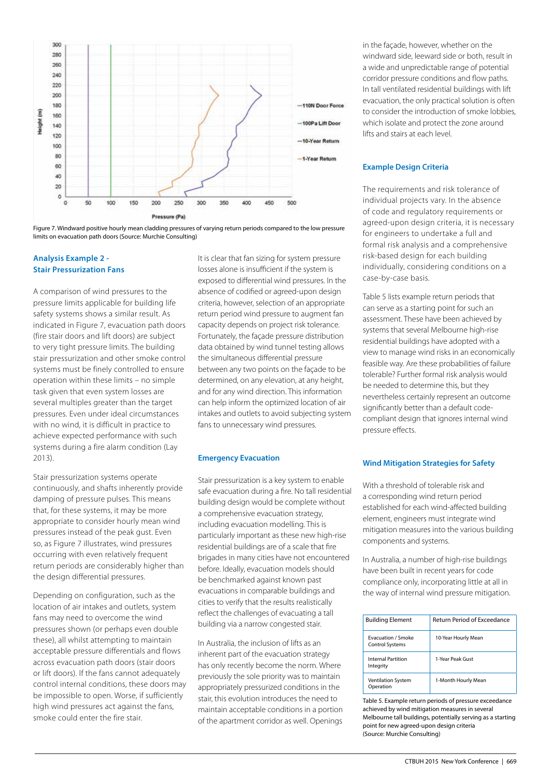

Figure 7. Windward positive hourly mean cladding pressures of varying return periods compared to the low pressure limits on evacuation path doors (Source: Murchie Consulting)

### **Analysis Example 2 - Stair Pressurization Fans**

A comparison of wind pressures to the pressure limits applicable for building life safety systems shows a similar result. As indicated in Figure 7, evacuation path doors (fire stair doors and lift doors) are subject to very tight pressure limits. The building stair pressurization and other smoke control systems must be finely controlled to ensure operation within these limits – no simple task given that even system losses are several multiples greater than the target pressures. Even under ideal circumstances with no wind, it is difficult in practice to achieve expected performance with such systems during a fire alarm condition (Lay 2013).

Stair pressurization systems operate continuously, and shafts inherently provide damping of pressure pulses. This means that, for these systems, it may be more appropriate to consider hourly mean wind pressures instead of the peak gust. Even so, as Figure 7 illustrates, wind pressures occurring with even relatively frequent return periods are considerably higher than the design differential pressures.

Depending on configuration, such as the location of air intakes and outlets, system fans may need to overcome the wind pressures shown (or perhaps even double these), all whilst attempting to maintain acceptable pressure differentials and flows across evacuation path doors (stair doors or lift doors). If the fans cannot adequately control internal conditions, these doors may be impossible to open. Worse, if sufficiently high wind pressures act against the fans, smoke could enter the fire stair.

It is clear that fan sizing for system pressure losses alone is insufficient if the system is exposed to differential wind pressures. In the absence of codified or agreed-upon design criteria, however, selection of an appropriate return period wind pressure to augment fan capacity depends on project risk tolerance. Fortunately, the façade pressure distribution data obtained by wind tunnel testing allows the simultaneous differential pressure between any two points on the façade to be determined, on any elevation, at any height, and for any wind direction. This information can help inform the optimized location of air intakes and outlets to avoid subjecting system fans to unnecessary wind pressures.

# **Emergency Evacuation**

Stair pressurization is a key system to enable safe evacuation during a fire. No tall residential building design would be complete without a comprehensive evacuation strategy, including evacuation modelling. This is particularly important as these new high-rise residential buildings are of a scale that fire brigades in many cities have not encountered before. Ideally, evacuation models should be benchmarked against known past evacuations in comparable buildings and cities to verify that the results realistically reflect the challenges of evacuating a tall building via a narrow congested stair.

In Australia, the inclusion of lifts as an inherent part of the evacuation strategy has only recently become the norm. Where previously the sole priority was to maintain appropriately pressurized conditions in the stair, this evolution introduces the need to maintain acceptable conditions in a portion of the apartment corridor as well. Openings

in the façade, however, whether on the windward side, leeward side or both, result in a wide and unpredictable range of potential corridor pressure conditions and flow paths. In tall ventilated residential buildings with lift evacuation, the only practical solution is often to consider the introduction of smoke lobbies, which isolate and protect the zone around lifts and stairs at each level.

# **Example Design Criteria**

The requirements and risk tolerance of individual projects vary. In the absence of code and regulatory requirements or agreed-upon design criteria, it is necessary for engineers to undertake a full and formal risk analysis and a comprehensive risk-based design for each building individually, considering conditions on a case-by-case basis.

Table 5 lists example return periods that can serve as a starting point for such an assessment. These have been achieved by systems that several Melbourne high-rise residential buildings have adopted with a view to manage wind risks in an economically feasible way. Are these probabilities of failure tolerable? Further formal risk analysis would be needed to determine this, but they nevertheless certainly represent an outcome significantly better than a default codecompliant design that ignores internal wind pressure effects.

# **Wind Mitigation Strategies for Safety**

With a threshold of tolerable risk and a corresponding wind return period established for each wind-affected building element, engineers must integrate wind mitigation measures into the various building components and systems.

In Australia, a number of high-rise buildings have been built in recent years for code compliance only, incorporating little at all in the way of internal wind pressure mitigation.

| <b>Building Element</b>                      | Return Period of Exceedance |
|----------------------------------------------|-----------------------------|
| Evacuation / Smoke<br><b>Control Systems</b> | 10-Year Hourly Mean         |
| <b>Internal Partition</b><br>Integrity       | 1-Year Peak Gust            |
| <b>Ventilation System</b><br>Operation       | 1-Month Hourly Mean         |

Table 5. Example return periods of pressure exceedance achieved by wind mitigation measures in several Melbourne tall buildings, potentially serving as a starting point for new agreed-upon design criteria (Source: Murchie Consulting)